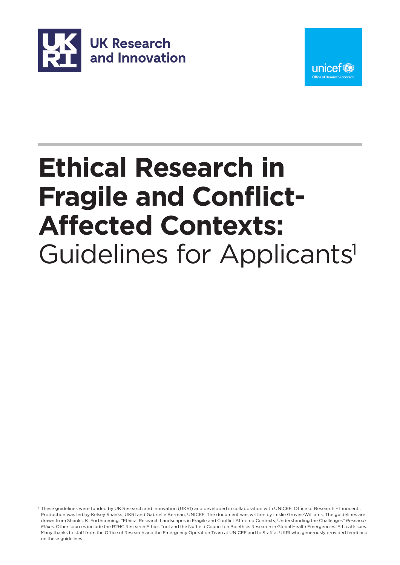



### **Ethical Research in Fragile and Conflict-Affected Contexts:** Guidelines for Applicants<sup>1</sup>

1 These guidelines were funded by UK Research and Innovation (UKRI) and developed in collaboration with UNICEF, Office of Research – Innocenti. Production was led by Kelsey Shanks, UKRI and Gabrielle Berman, UNICEF. The document was written by Leslie Groves-Williams. The guidelines are drawn from Shanks, K. Forthcoming. "Ethical Research Landscapes in Fragile and Conflict Affected Contexts; Understanding the Challenges" *Research Ethics*. Other sources include the [R2HC Research Ethics Tool](https://www.elrha.org/wp-content/uploads/2015/01/ELRHA-Interactive-Flipcards-F3.pdf) and the Nuffield Council on Bioethics [Research in Global Health Emergencies: Ethical Issues.](https://www.nuffieldbioethics.org/publications/research-in-global-health-emergencies)  Many thanks to staff from the Office of Research and the Emergency Operation Team at UNICEF and to Staff at UKRI who generously provided feedback on these guidelines.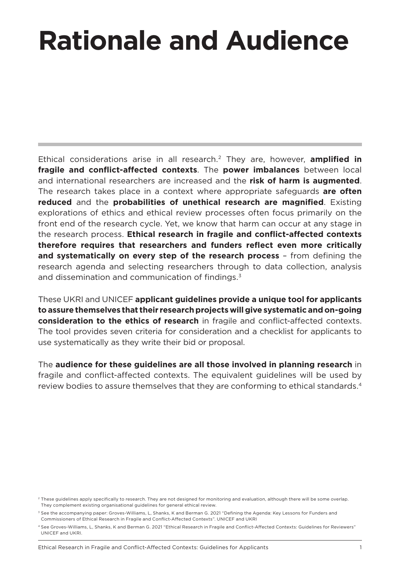## **Rationale and Audience**

Ethical considerations arise in all research.2 They are, however, **amplified in fragile and conflict-affected contexts**. The **power imbalances** between local and international researchers are increased and the **risk of harm is augmented**. The research takes place in a context where appropriate safeguards **are often reduced** and the **probabilities of unethical research are magnified**. Existing explorations of ethics and ethical review processes often focus primarily on the front end of the research cycle. Yet, we know that harm can occur at any stage in the research process. **Ethical research in fragile and conflict-affected contexts therefore requires that researchers and funders reflect even more critically and systematically on every step of the research process** – from defining the research agenda and selecting researchers through to data collection, analysis and dissemination and communication of findings.3

These UKRI and UNICEF **applicant guidelines provide a unique tool for applicants to assure themselves that their research projects will give systematic and on-going consideration to the ethics of research** in fragile and conflict-affected contexts. The tool provides seven criteria for consideration and a checklist for applicants to use systematically as they write their bid or proposal.

The **audience for these guidelines are all those involved in planning research** in fragile and conflict-affected contexts. The equivalent guidelines will be used by review bodies to assure themselves that they are conforming to ethical standards.<sup>4</sup>

<sup>2</sup> These guidelines apply specifically to research. They are not designed for monitoring and evaluation, although there will be some overlap. They complement existing organisational guidelines for general ethical review.

<sup>3</sup> See the accompanying paper: Groves-Williams, L, Shanks, K and Berman G. 2021 "Defining the Agenda: Key Lessons for Funders and Commissioners of Ethical Research in Fragile and Conflict-Affected Contexts". UNICEF and UKRI

<sup>4</sup> See Groves-Williams, L, Shanks, K and Berman G. 2021 "Ethical Research in Fragile and Conflict-Affected Contexts: Guidelines for Reviewers" UNICEF and UKRI.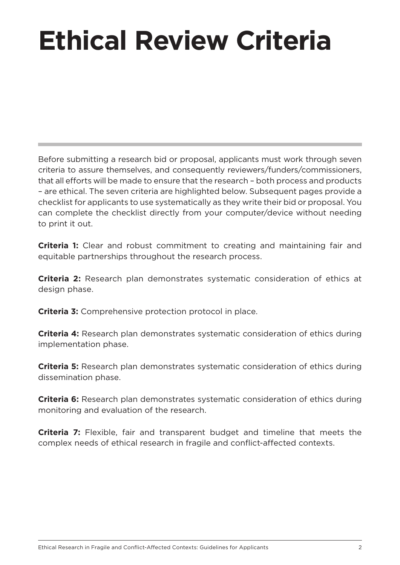# **Ethical Review Criteria**

Before submitting a research bid or proposal, applicants must work through seven criteria to assure themselves, and consequently reviewers/funders/commissioners, that all efforts will be made to ensure that the research – both process and products – are ethical. The seven criteria are highlighted below. Subsequent pages provide a checklist for applicants to use systematically as they write their bid or proposal. You can complete the checklist directly from your computer/device without needing to print it out.

**Criteria 1:** Clear and robust commitment to creating and maintaining fair and equitable partnerships throughout the research process.

**Criteria 2:** Research plan demonstrates systematic consideration of ethics at design phase.

**Criteria 3:** Comprehensive protection protocol in place.

**Criteria 4:** Research plan demonstrates systematic consideration of ethics during implementation phase.

**Criteria 5:** Research plan demonstrates systematic consideration of ethics during dissemination phase.

**Criteria 6:** Research plan demonstrates systematic consideration of ethics during monitoring and evaluation of the research.

**Criteria 7:** Flexible, fair and transparent budget and timeline that meets the complex needs of ethical research in fragile and conflict-affected contexts.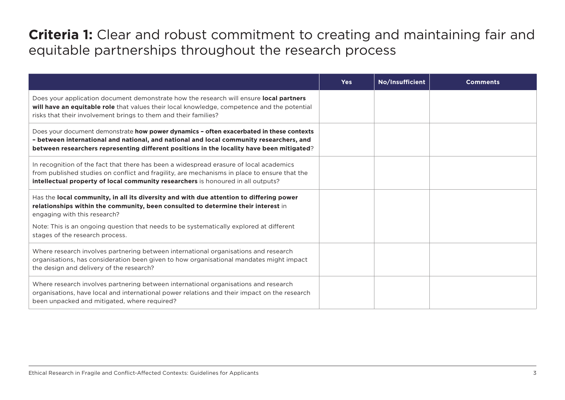#### **Criteria 1:** Clear and robust commitment to creating and maintaining fair and equitable partnerships throughout the research process

|                                                                                                                                                                                                                                                                                 | <b>Yes</b> | No/Insufficient | <b>Comments</b> |
|---------------------------------------------------------------------------------------------------------------------------------------------------------------------------------------------------------------------------------------------------------------------------------|------------|-----------------|-----------------|
| Does your application document demonstrate how the research will ensure local partners<br>will have an equitable role that values their local knowledge, competence and the potential<br>risks that their involvement brings to them and their families?                        |            |                 |                 |
| Does your document demonstrate how power dynamics - often exacerbated in these contexts<br>- between international and national, and national and local community researchers, and<br>between researchers representing different positions in the locality have been mitigated? |            |                 |                 |
| In recognition of the fact that there has been a widespread erasure of local academics<br>from published studies on conflict and fragility, are mechanisms in place to ensure that the<br>intellectual property of local community researchers is honoured in all outputs?      |            |                 |                 |
| Has the local community, in all its diversity and with due attention to differing power<br>relationships within the community, been consulted to determine their interest in<br>engaging with this research?                                                                    |            |                 |                 |
| Note: This is an ongoing question that needs to be systematically explored at different<br>stages of the research process.                                                                                                                                                      |            |                 |                 |
| Where research involves partnering between international organisations and research<br>organisations, has consideration been given to how organisational mandates might impact<br>the design and delivery of the research?                                                      |            |                 |                 |
| Where research involves partnering between international organisations and research<br>organisations, have local and international power relations and their impact on the research<br>been unpacked and mitigated, where required?                                             |            |                 |                 |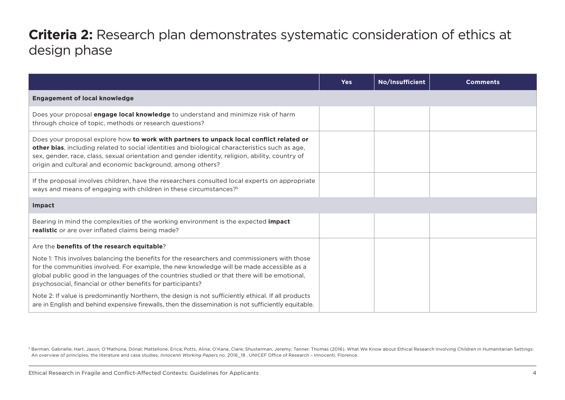#### **Criteria 2:** Research plan demonstrates systematic consideration of ethics at design phase

|                                                                                                                                                                                                                                                                                                                                                             | <b>Yes</b> | No/Insufficient | <b>Comments</b> |
|-------------------------------------------------------------------------------------------------------------------------------------------------------------------------------------------------------------------------------------------------------------------------------------------------------------------------------------------------------------|------------|-----------------|-----------------|
| <b>Engagement of local knowledge</b>                                                                                                                                                                                                                                                                                                                        |            |                 |                 |
| Does your proposal engage local knowledge to understand and minimize risk of harm<br>through choice of topic, methods or research questions?                                                                                                                                                                                                                |            |                 |                 |
| Does your proposal explore how to work with partners to unpack local conflict related or<br>other bias, including related to social identities and biological characteristics such as age,<br>sex, gender, race, class, sexual orientation and gender identity, religion, ability, country of<br>origin and cultural and economic background, among others? |            |                 |                 |
| If the proposal involves children, have the researchers consulted local experts on appropriate<br>ways and means of engaging with children in these circumstances? <sup>5</sup>                                                                                                                                                                             |            |                 |                 |
| Impact                                                                                                                                                                                                                                                                                                                                                      |            |                 |                 |
| Bearing in mind the complexities of the working environment is the expected impact<br><b>realistic</b> or are over inflated claims being made?                                                                                                                                                                                                              |            |                 |                 |
| Are the benefits of the research equitable?                                                                                                                                                                                                                                                                                                                 |            |                 |                 |
| Note 1: This involves balancing the benefits for the researchers and commissioners with those<br>for the communities involved. For example, the new knowledge will be made accessible as a<br>global public good in the languages of the countries studied or that there will be emotional,<br>psychosocial, financial or other benefits for participants?  |            |                 |                 |
| Note 2: If value is predominantly Northern, the design is not sufficiently ethical. If all products<br>are in English and behind expensive firewalls, then the dissemination is not sufficiently equitable.                                                                                                                                                 |            |                 |                 |

5 Berman, Gabrielle; Hart, Jason; O'Mathúna, Dónal; Mattellone, Erica; Potts, Alina; O'Kane, Clare; Shusterman, Jeremy; Tanner, Thomas (2016). What We Know about Ethical Research Involving Children in Humanitarian Settings: An overview of principles, the literature and case studies, *Innocenti Working Papers* no. 2016\_18 , UNICEF Office of Research – Innocenti, Florence.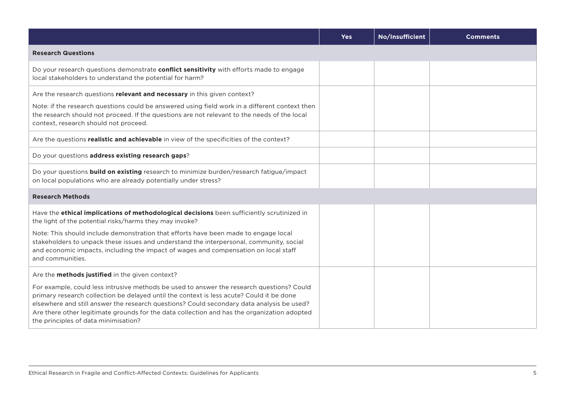|                                                                                                                                                                                                                                                                                                                                                                                                                           | <b>Yes</b> | No/Insufficient | <b>Comments</b> |
|---------------------------------------------------------------------------------------------------------------------------------------------------------------------------------------------------------------------------------------------------------------------------------------------------------------------------------------------------------------------------------------------------------------------------|------------|-----------------|-----------------|
| <b>Research Questions</b>                                                                                                                                                                                                                                                                                                                                                                                                 |            |                 |                 |
| Do your research questions demonstrate conflict sensitivity with efforts made to engage<br>local stakeholders to understand the potential for harm?                                                                                                                                                                                                                                                                       |            |                 |                 |
| Are the research questions relevant and necessary in this given context?<br>Note: if the research questions could be answered using field work in a different context then<br>the research should not proceed. If the questions are not relevant to the needs of the local<br>context, research should not proceed.                                                                                                       |            |                 |                 |
| Are the questions realistic and achievable in view of the specificities of the context?                                                                                                                                                                                                                                                                                                                                   |            |                 |                 |
| Do your questions address existing research gaps?                                                                                                                                                                                                                                                                                                                                                                         |            |                 |                 |
| Do your questions <b>build on existing</b> research to minimize burden/research fatigue/impact<br>on local populations who are already potentially under stress?                                                                                                                                                                                                                                                          |            |                 |                 |
| <b>Research Methods</b>                                                                                                                                                                                                                                                                                                                                                                                                   |            |                 |                 |
| Have the ethical implications of methodological decisions been sufficiently scrutinized in<br>the light of the potential risks/harms they may invoke?                                                                                                                                                                                                                                                                     |            |                 |                 |
| Note: This should include demonstration that efforts have been made to engage local<br>stakeholders to unpack these issues and understand the interpersonal, community, social<br>and economic impacts, including the impact of wages and compensation on local staff<br>and communities.                                                                                                                                 |            |                 |                 |
| Are the <b>methods justified</b> in the given context?                                                                                                                                                                                                                                                                                                                                                                    |            |                 |                 |
| For example, could less intrusive methods be used to answer the research questions? Could<br>primary research collection be delayed until the context is less acute? Could it be done<br>elsewhere and still answer the research questions? Could secondary data analysis be used?<br>Are there other legitimate grounds for the data collection and has the organization adopted<br>the principles of data minimisation? |            |                 |                 |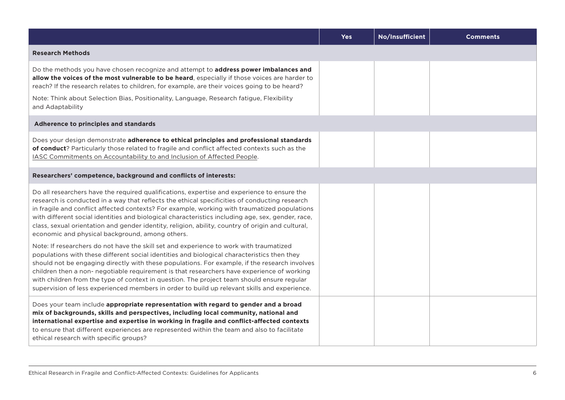|                                                                                                                                                                                                                                                                                                                                                                                                                                                                                                                                                                                    | <b>Yes</b> | No/Insufficient | <b>Comments</b> |
|------------------------------------------------------------------------------------------------------------------------------------------------------------------------------------------------------------------------------------------------------------------------------------------------------------------------------------------------------------------------------------------------------------------------------------------------------------------------------------------------------------------------------------------------------------------------------------|------------|-----------------|-----------------|
| <b>Research Methods</b>                                                                                                                                                                                                                                                                                                                                                                                                                                                                                                                                                            |            |                 |                 |
| Do the methods you have chosen recognize and attempt to address power imbalances and<br>allow the voices of the most vulnerable to be heard, especially if those voices are harder to<br>reach? If the research relates to children, for example, are their voices going to be heard?                                                                                                                                                                                                                                                                                              |            |                 |                 |
| Note: Think about Selection Bias, Positionality, Language, Research fatigue, Flexibility<br>and Adaptability                                                                                                                                                                                                                                                                                                                                                                                                                                                                       |            |                 |                 |
| Adherence to principles and standards                                                                                                                                                                                                                                                                                                                                                                                                                                                                                                                                              |            |                 |                 |
| Does your design demonstrate adherence to ethical principles and professional standards<br>of conduct? Particularly those related to fragile and conflict affected contexts such as the<br>IASC Commitments on Accountability to and Inclusion of Affected People.                                                                                                                                                                                                                                                                                                                 |            |                 |                 |
| Researchers' competence, background and conflicts of interests:                                                                                                                                                                                                                                                                                                                                                                                                                                                                                                                    |            |                 |                 |
| Do all researchers have the required qualifications, expertise and experience to ensure the<br>research is conducted in a way that reflects the ethical specificities of conducting research<br>in fragile and conflict affected contexts? For example, working with traumatized populations<br>with different social identities and biological characteristics including age, sex, gender, race,<br>class, sexual orientation and gender identity, religion, ability, country of origin and cultural,<br>economic and physical background, among others.                          |            |                 |                 |
| Note: If researchers do not have the skill set and experience to work with traumatized<br>populations with these different social identities and biological characteristics then they<br>should not be engaging directly with these populations. For example, if the research involves<br>children then a non- negotiable requirement is that researchers have experience of working<br>with children from the type of context in question. The project team should ensure regular<br>supervision of less experienced members in order to build up relevant skills and experience. |            |                 |                 |
| Does your team include appropriate representation with regard to gender and a broad<br>mix of backgrounds, skills and perspectives, including local community, national and<br>international expertise and expertise in working in fragile and conflict-affected contexts<br>to ensure that different experiences are represented within the team and also to facilitate<br>ethical research with specific groups?                                                                                                                                                                 |            |                 |                 |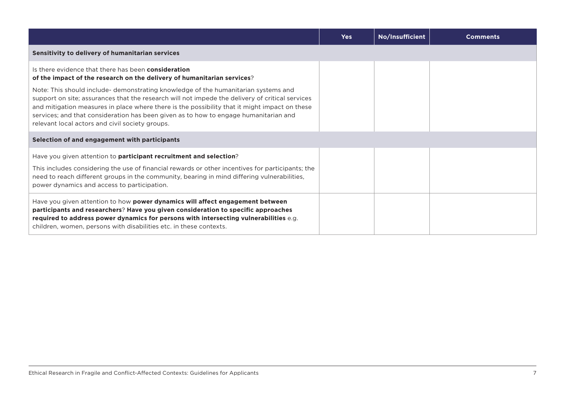|                                                                                                                                                                                                                                                                                                                                                                                                                                   | <b>Yes</b> | No/Insufficient | <b>Comments</b> |
|-----------------------------------------------------------------------------------------------------------------------------------------------------------------------------------------------------------------------------------------------------------------------------------------------------------------------------------------------------------------------------------------------------------------------------------|------------|-----------------|-----------------|
| Sensitivity to delivery of humanitarian services                                                                                                                                                                                                                                                                                                                                                                                  |            |                 |                 |
| Is there evidence that there has been <b>consideration</b><br>of the impact of the research on the delivery of humanitarian services?                                                                                                                                                                                                                                                                                             |            |                 |                 |
| Note: This should include- demonstrating knowledge of the humanitarian systems and<br>support on site; assurances that the research will not impede the delivery of critical services<br>and mitigation measures in place where there is the possibility that it might impact on these<br>services; and that consideration has been given as to how to engage humanitarian and<br>relevant local actors and civil society groups. |            |                 |                 |
| Selection of and engagement with participants                                                                                                                                                                                                                                                                                                                                                                                     |            |                 |                 |
| Have you given attention to <b>participant recruitment and selection</b> ?                                                                                                                                                                                                                                                                                                                                                        |            |                 |                 |
| This includes considering the use of financial rewards or other incentives for participants; the<br>need to reach different groups in the community, bearing in mind differing vulnerabilities,<br>power dynamics and access to participation.                                                                                                                                                                                    |            |                 |                 |
| Have you given attention to how power dynamics will affect engagement between<br>participants and researchers? Have you given consideration to specific approaches<br>required to address power dynamics for persons with intersecting vulnerabilities e.g.<br>children, women, persons with disabilities etc. in these contexts.                                                                                                 |            |                 |                 |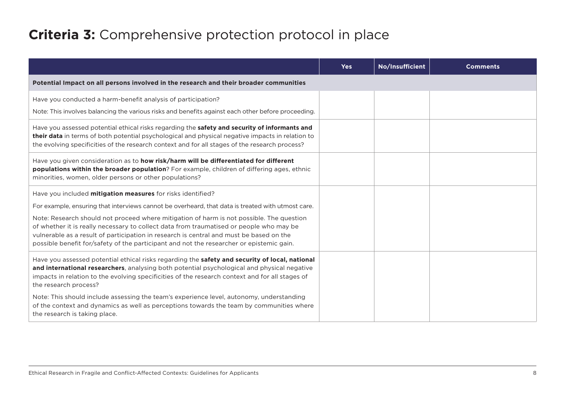#### **Criteria 3:** Comprehensive protection protocol in place

|                                                                                                                                                                                                                                                                                                                                                                            | <b>Yes</b> | No/Insufficient | <b>Comments</b> |
|----------------------------------------------------------------------------------------------------------------------------------------------------------------------------------------------------------------------------------------------------------------------------------------------------------------------------------------------------------------------------|------------|-----------------|-----------------|
| Potential Impact on all persons involved in the research and their broader communities                                                                                                                                                                                                                                                                                     |            |                 |                 |
| Have you conducted a harm-benefit analysis of participation?                                                                                                                                                                                                                                                                                                               |            |                 |                 |
| Note: This involves balancing the various risks and benefits against each other before proceeding.                                                                                                                                                                                                                                                                         |            |                 |                 |
| Have you assessed potential ethical risks regarding the safety and security of informants and<br>their data in terms of both potential psychological and physical negative impacts in relation to<br>the evolving specificities of the research context and for all stages of the research process?                                                                        |            |                 |                 |
| Have you given consideration as to how risk/harm will be differentiated for different<br>populations within the broader population? For example, children of differing ages, ethnic<br>minorities, women, older persons or other populations?                                                                                                                              |            |                 |                 |
| Have you included <b>mitigation measures</b> for risks identified?                                                                                                                                                                                                                                                                                                         |            |                 |                 |
| For example, ensuring that interviews cannot be overheard, that data is treated with utmost care.                                                                                                                                                                                                                                                                          |            |                 |                 |
| Note: Research should not proceed where mitigation of harm is not possible. The question<br>of whether it is really necessary to collect data from traumatised or people who may be<br>vulnerable as a result of participation in research is central and must be based on the<br>possible benefit for/safety of the participant and not the researcher or epistemic gain. |            |                 |                 |
| Have you assessed potential ethical risks regarding the safety and security of local, national<br>and international researchers, analysing both potential psychological and physical negative<br>impacts in relation to the evolving specificities of the research context and for all stages of<br>the research process?                                                  |            |                 |                 |
| Note: This should include assessing the team's experience level, autonomy, understanding<br>of the context and dynamics as well as perceptions towards the team by communities where<br>the research is taking place.                                                                                                                                                      |            |                 |                 |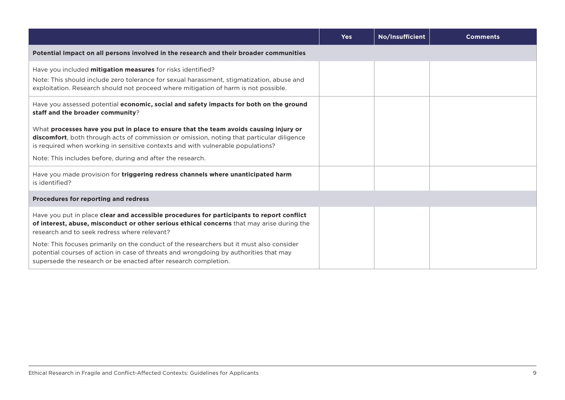|                                                                                                                                                                                                                                                                                                                                             | <b>Yes</b> | No/Insufficient | <b>Comments</b> |
|---------------------------------------------------------------------------------------------------------------------------------------------------------------------------------------------------------------------------------------------------------------------------------------------------------------------------------------------|------------|-----------------|-----------------|
| Potential Impact on all persons involved in the research and their broader communities                                                                                                                                                                                                                                                      |            |                 |                 |
| Have you included mitigation measures for risks identified?<br>Note: This should include zero tolerance for sexual harassment, stigmatization, abuse and<br>exploitation. Research should not proceed where mitigation of harm is not possible.                                                                                             |            |                 |                 |
| Have you assessed potential economic, social and safety impacts for both on the ground<br>staff and the broader community?                                                                                                                                                                                                                  |            |                 |                 |
| What processes have you put in place to ensure that the team avoids causing injury or<br><b>discomfort</b> , both through acts of commission or omission, noting that particular diligence<br>is required when working in sensitive contexts and with vulnerable populations?<br>Note: This includes before, during and after the research. |            |                 |                 |
| Have you made provision for triggering redress channels where unanticipated harm<br>is identified?                                                                                                                                                                                                                                          |            |                 |                 |
| Procedures for reporting and redress                                                                                                                                                                                                                                                                                                        |            |                 |                 |
| Have you put in place clear and accessible procedures for participants to report conflict<br>of interest, abuse, misconduct or other serious ethical concerns that may arise during the<br>research and to seek redress where relevant?                                                                                                     |            |                 |                 |
| Note: This focuses primarily on the conduct of the researchers but it must also consider<br>potential courses of action in case of threats and wrongdoing by authorities that may<br>supersede the research or be enacted after research completion.                                                                                        |            |                 |                 |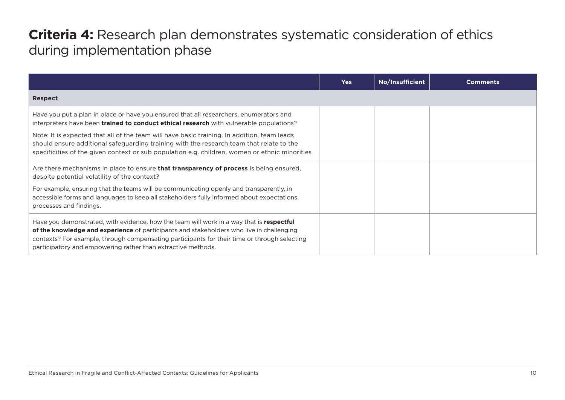#### **Criteria 4:** Research plan demonstrates systematic consideration of ethics during implementation phase

|                                                                                                                                                                                                                                                                                                                                                                                                                                                                                       | <b>Yes</b> | No/Insufficient | <b>Comments</b> |
|---------------------------------------------------------------------------------------------------------------------------------------------------------------------------------------------------------------------------------------------------------------------------------------------------------------------------------------------------------------------------------------------------------------------------------------------------------------------------------------|------------|-----------------|-----------------|
| <b>Respect</b>                                                                                                                                                                                                                                                                                                                                                                                                                                                                        |            |                 |                 |
| Have you put a plan in place or have you ensured that all researchers, enumerators and<br>interpreters have been <b>trained to conduct ethical research</b> with vulnerable populations?<br>Note: It is expected that all of the team will have basic training. In addition, team leads<br>should ensure additional safeguarding training with the research team that relate to the<br>specificities of the given context or sub population e.g. children, women or ethnic minorities |            |                 |                 |
| Are there mechanisms in place to ensure <b>that transparency of process</b> is being ensured,<br>despite potential volatility of the context?<br>For example, ensuring that the teams will be communicating openly and transparently, in<br>accessible forms and languages to keep all stakeholders fully informed about expectations,<br>processes and findings.                                                                                                                     |            |                 |                 |
| Have you demonstrated, with evidence, how the team will work in a way that is respectful<br>of the knowledge and experience of participants and stakeholders who live in challenging<br>contexts? For example, through compensating participants for their time or through selecting<br>participatory and empowering rather than extractive methods.                                                                                                                                  |            |                 |                 |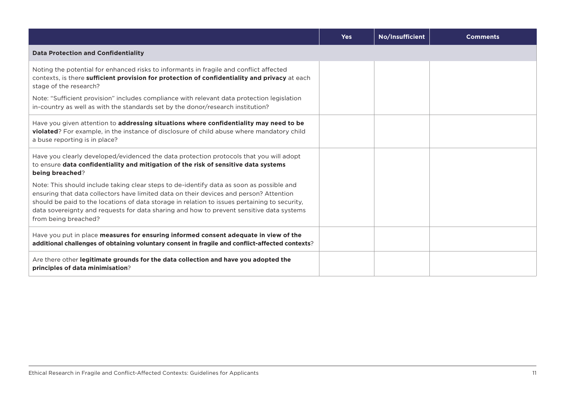|                                                                                                                                                                                                                                                                                                                                                                                                         | <b>Yes</b> | No/Insufficient | <b>Comments</b> |
|---------------------------------------------------------------------------------------------------------------------------------------------------------------------------------------------------------------------------------------------------------------------------------------------------------------------------------------------------------------------------------------------------------|------------|-----------------|-----------------|
| <b>Data Protection and Confidentiality</b>                                                                                                                                                                                                                                                                                                                                                              |            |                 |                 |
| Noting the potential for enhanced risks to informants in fragile and conflict affected<br>contexts, is there sufficient provision for protection of confidentiality and privacy at each<br>stage of the research?                                                                                                                                                                                       |            |                 |                 |
| Note: "Sufficient provision" includes compliance with relevant data protection legislation<br>in-country as well as with the standards set by the donor/research institution?                                                                                                                                                                                                                           |            |                 |                 |
| Have you given attention to addressing situations where confidentiality may need to be<br><b>violated</b> ? For example, in the instance of disclosure of child abuse where mandatory child<br>a buse reporting is in place?                                                                                                                                                                            |            |                 |                 |
| Have you clearly developed/evidenced the data protection protocols that you will adopt<br>to ensure data confidentiality and mitigation of the risk of sensitive data systems<br>being breached?                                                                                                                                                                                                        |            |                 |                 |
| Note: This should include taking clear steps to de-identify data as soon as possible and<br>ensuring that data collectors have limited data on their devices and person? Attention<br>should be paid to the locations of data storage in relation to issues pertaining to security,<br>data sovereignty and requests for data sharing and how to prevent sensitive data systems<br>from being breached? |            |                 |                 |
| Have you put in place measures for ensuring informed consent adequate in view of the<br>additional challenges of obtaining voluntary consent in fragile and conflict-affected contexts?                                                                                                                                                                                                                 |            |                 |                 |
| Are there other legitimate grounds for the data collection and have you adopted the<br>principles of data minimisation?                                                                                                                                                                                                                                                                                 |            |                 |                 |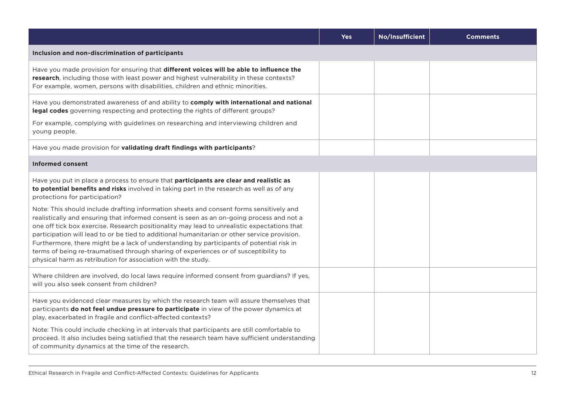|                                                                                                                                                                                                                                                                                                                                                                                                                                                                                                                                                                                                                                                                                                                                                                                                                                                                  | <b>Yes</b> | No/Insufficient | <b>Comments</b> |
|------------------------------------------------------------------------------------------------------------------------------------------------------------------------------------------------------------------------------------------------------------------------------------------------------------------------------------------------------------------------------------------------------------------------------------------------------------------------------------------------------------------------------------------------------------------------------------------------------------------------------------------------------------------------------------------------------------------------------------------------------------------------------------------------------------------------------------------------------------------|------------|-----------------|-----------------|
| Inclusion and non-discrimination of participants                                                                                                                                                                                                                                                                                                                                                                                                                                                                                                                                                                                                                                                                                                                                                                                                                 |            |                 |                 |
| Have you made provision for ensuring that different voices will be able to influence the<br>research, including those with least power and highest vulnerability in these contexts?<br>For example, women, persons with disabilities, children and ethnic minorities.                                                                                                                                                                                                                                                                                                                                                                                                                                                                                                                                                                                            |            |                 |                 |
| Have you demonstrated awareness of and ability to comply with international and national<br>legal codes governing respecting and protecting the rights of different groups?<br>For example, complying with guidelines on researching and interviewing children and<br>young people.                                                                                                                                                                                                                                                                                                                                                                                                                                                                                                                                                                              |            |                 |                 |
| Have you made provision for validating draft findings with participants?                                                                                                                                                                                                                                                                                                                                                                                                                                                                                                                                                                                                                                                                                                                                                                                         |            |                 |                 |
| <b>Informed consent</b>                                                                                                                                                                                                                                                                                                                                                                                                                                                                                                                                                                                                                                                                                                                                                                                                                                          |            |                 |                 |
| Have you put in place a process to ensure that participants are clear and realistic as<br>to potential benefits and risks involved in taking part in the research as well as of any<br>protections for participation?<br>Note: This should include drafting information sheets and consent forms sensitively and<br>realistically and ensuring that informed consent is seen as an on-going process and not a<br>one off tick box exercise. Research positionality may lead to unrealistic expectations that<br>participation will lead to or be tied to additional humanitarian or other service provision.<br>Furthermore, there might be a lack of understanding by participants of potential risk in<br>terms of being re-traumatised through sharing of experiences or of susceptibility to<br>physical harm as retribution for association with the study. |            |                 |                 |
| Where children are involved, do local laws require informed consent from guardians? If yes,<br>will you also seek consent from children?                                                                                                                                                                                                                                                                                                                                                                                                                                                                                                                                                                                                                                                                                                                         |            |                 |                 |
| Have you evidenced clear measures by which the research team will assure themselves that<br>participants do not feel undue pressure to participate in view of the power dynamics at<br>play, exacerbated in fragile and conflict-affected contexts?<br>Note: This could include checking in at intervals that participants are still comfortable to<br>proceed. It also includes being satisfied that the research team have sufficient understanding<br>of community dynamics at the time of the research.                                                                                                                                                                                                                                                                                                                                                      |            |                 |                 |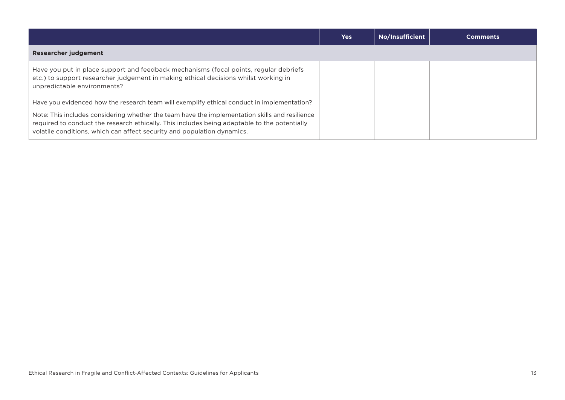|                                                                                                                                                                                                                                                                                                                                                                         | <b>Yes</b> | No/Insufficient | <b>Comments</b> |
|-------------------------------------------------------------------------------------------------------------------------------------------------------------------------------------------------------------------------------------------------------------------------------------------------------------------------------------------------------------------------|------------|-----------------|-----------------|
| <b>Researcher judgement</b>                                                                                                                                                                                                                                                                                                                                             |            |                 |                 |
| Have you put in place support and feedback mechanisms (focal points, regular debriefs<br>etc.) to support researcher judgement in making ethical decisions whilst working in<br>unpredictable environments?                                                                                                                                                             |            |                 |                 |
| Have you evidenced how the research team will exemplify ethical conduct in implementation?<br>Note: This includes considering whether the team have the implementation skills and resilience<br>required to conduct the research ethically. This includes being adaptable to the potentially<br>volatile conditions, which can affect security and population dynamics. |            |                 |                 |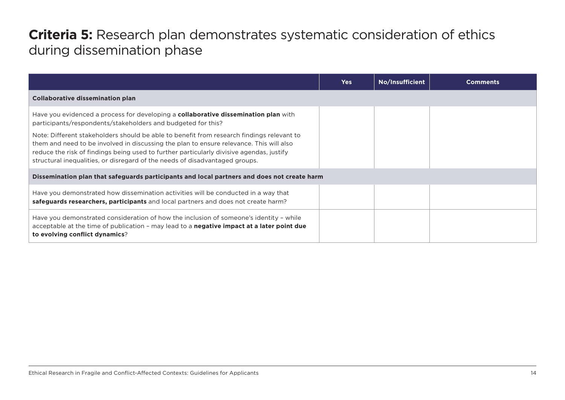#### **Criteria 5:** Research plan demonstrates systematic consideration of ethics during dissemination phase

|                                                                                                                                                                                                                                                                                                                                                                 | <b>Yes</b> | No/Insufficient | <b>Comments</b> |
|-----------------------------------------------------------------------------------------------------------------------------------------------------------------------------------------------------------------------------------------------------------------------------------------------------------------------------------------------------------------|------------|-----------------|-----------------|
| <b>Collaborative dissemination plan</b>                                                                                                                                                                                                                                                                                                                         |            |                 |                 |
| Have you evidenced a process for developing a <b>collaborative dissemination plan</b> with<br>participants/respondents/stakeholders and budgeted for this?                                                                                                                                                                                                      |            |                 |                 |
| Note: Different stakeholders should be able to benefit from research findings relevant to<br>them and need to be involved in discussing the plan to ensure relevance. This will also<br>reduce the risk of findings being used to further particularly divisive agendas, justify<br>structural inequalities, or disregard of the needs of disadvantaged groups. |            |                 |                 |
| Dissemination plan that safeguards participants and local partners and does not create harm                                                                                                                                                                                                                                                                     |            |                 |                 |
| Have you demonstrated how dissemination activities will be conducted in a way that<br>safeguards researchers, participants and local partners and does not create harm?                                                                                                                                                                                         |            |                 |                 |
| Have you demonstrated consideration of how the inclusion of someone's identity - while<br>acceptable at the time of publication - may lead to a <b>negative impact at a later point due</b><br>to evolving conflict dynamics?                                                                                                                                   |            |                 |                 |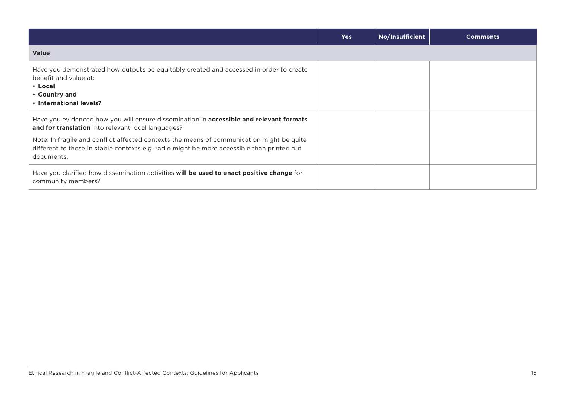|                                                                                                                                                                                                       | <b>Yes</b> | No/Insufficient | <b>Comments</b> |
|-------------------------------------------------------------------------------------------------------------------------------------------------------------------------------------------------------|------------|-----------------|-----------------|
| <b>Value</b>                                                                                                                                                                                          |            |                 |                 |
| Have you demonstrated how outputs be equitably created and accessed in order to create<br>benefit and value at:<br>• Local<br>• Country and<br>• International levels?                                |            |                 |                 |
| Have you evidenced how you will ensure dissemination in <b>accessible and relevant formats</b><br>and for translation into relevant local languages?                                                  |            |                 |                 |
| Note: In fragile and conflict affected contexts the means of communication might be quite<br>different to those in stable contexts e.g. radio might be more accessible than printed out<br>documents. |            |                 |                 |
| Have you clarified how dissemination activities will be used to enact positive change for<br>community members?                                                                                       |            |                 |                 |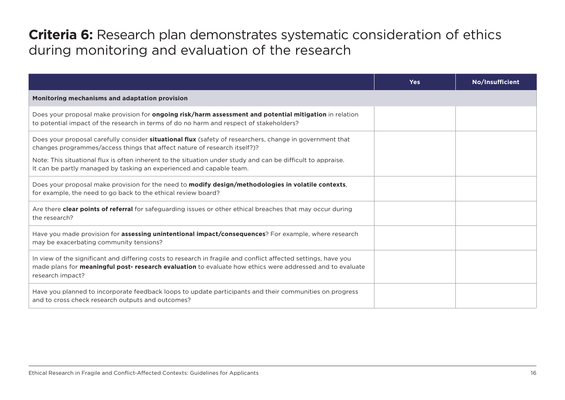#### **Criteria 6:** Research plan demonstrates systematic consideration of ethics during monitoring and evaluation of the research

|                                                                                                                                                                                                                                                        | <b>Yes</b> | No/Insufficient |  |  |  |
|--------------------------------------------------------------------------------------------------------------------------------------------------------------------------------------------------------------------------------------------------------|------------|-----------------|--|--|--|
| Monitoring mechanisms and adaptation provision                                                                                                                                                                                                         |            |                 |  |  |  |
| Does your proposal make provision for ongoing risk/harm assessment and potential mitigation in relation<br>to potential impact of the research in terms of do no harm and respect of stakeholders?                                                     |            |                 |  |  |  |
| Does your proposal carefully consider <b>situational flux</b> (safety of researchers, change in government that<br>changes programmes/access things that affect nature of research itself?)?                                                           |            |                 |  |  |  |
| Note: This situational flux is often inherent to the situation under study and can be difficult to appraise.<br>It can be partly managed by tasking an experienced and capable team.                                                                   |            |                 |  |  |  |
| Does your proposal make provision for the need to modify design/methodologies in volatile contexts,<br>for example, the need to go back to the ethical review board?                                                                                   |            |                 |  |  |  |
| Are there clear points of referral for safeguarding issues or other ethical breaches that may occur during<br>the research?                                                                                                                            |            |                 |  |  |  |
| Have you made provision for <b>assessing unintentional impact/consequences</b> ? For example, where research<br>may be exacerbating community tensions?                                                                                                |            |                 |  |  |  |
| In view of the significant and differing costs to research in fragile and conflict affected settings, have you<br>made plans for <b>meaningful post- research evaluation</b> to evaluate how ethics were addressed and to evaluate<br>research impact? |            |                 |  |  |  |
| Have you planned to incorporate feedback loops to update participants and their communities on progress<br>and to cross check research outputs and outcomes?                                                                                           |            |                 |  |  |  |